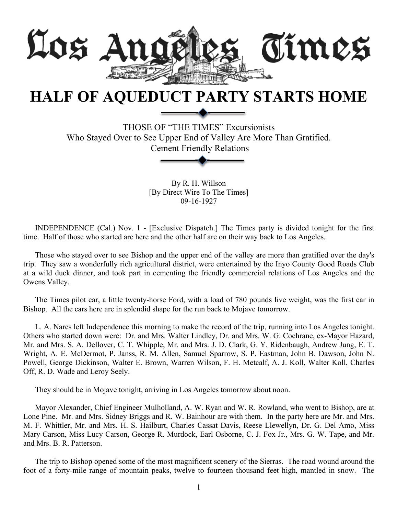

## **HALF OF AQUEDUCT PARTY STARTS HOME**

THOSE OF "THE TIMES" Excursionists Who Stayed Over to See Upper End of Valley Are More Than Gratified. Cement Friendly Relations

> By R. H. Willson [By Direct Wire To The Times] 09-16-1927

INDEPENDENCE (Cal.) Nov. 1 - [Exclusive Dispatch.] The Times party is divided tonight for the first time. Half of those who started are here and the other half are on their way back to Los Angeles.

Those who stayed over to see Bishop and the upper end of the valley are more than gratified over the day's trip. They saw a wonderfully rich agricultural district, were entertained by the Inyo County Good Roads Club at a wild duck dinner, and took part in cementing the friendly commercial relations of Los Angeles and the Owens Valley.

The Times pilot car, a little twenty-horse Ford, with a load of 780 pounds live weight, was the first car in Bishop. All the cars here are in splendid shape for the run back to Mojave tomorrow.

L. A. Nares left Independence this morning to make the record of the trip, running into Los Angeles tonight. Others who started down were: Dr. and Mrs. Walter Lindley, Dr. and Mrs. W. G. Cochrane, ex-Mayor Hazard, Mr. and Mrs. S. A. Dellover, C. T. Whipple, Mr. and Mrs. J. D. Clark, G. Y. Ridenbaugh, Andrew Jung, E. T. Wright, A. E. McDermot, P. Janss, R. M. Allen, Samuel Sparrow, S. P. Eastman, John B. Dawson, John N. Powell, George Dickinson, Walter E. Brown, Warren Wilson, F. H. Metcalf, A. J. Koll, Walter Koll, Charles Off, R. D. Wade and Leroy Seely.

They should be in Mojave tonight, arriving in Los Angeles tomorrow about noon.

Mayor Alexander, Chief Engineer Mulholland, A. W. Ryan and W. R. Rowland, who went to Bishop, are at Lone Pine. Mr. and Mrs. Sidney Briggs and R. W. Bainhour are with them. In the party here are Mr. and Mrs. M. F. Whittler, Mr. and Mrs. H. S. Hailburt, Charles Cassat Davis, Reese Llewellyn, Dr. G. Del Amo, Miss Mary Carson, Miss Lucy Carson, George R. Murdock, Earl Osborne, C. J. Fox Jr., Mrs. G. W. Tape, and Mr. and Mrs. B. R. Patterson.

The trip to Bishop opened some of the most magnificent scenery of the Sierras. The road wound around the foot of a forty-mile range of mountain peaks, twelve to fourteen thousand feet high, mantled in snow. The